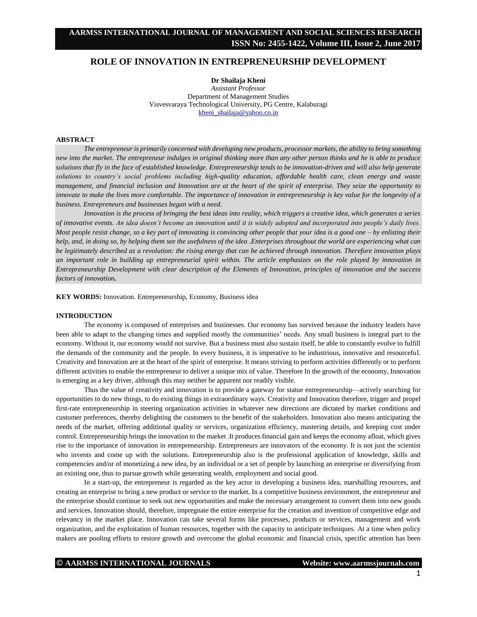# **ROLE OF INNOVATION IN ENTREPRENEURSHIP DEVELOPMENT**

**Dr Shailaja Kheni** *Assistant Professor* Department of Management Studies Visvesvaraya Technological University, PG Centre, Kalaburagi [kheni\\_shailaja@yahoo.co.in](mailto:kheni_shailaja@yahoo.co.in)

### **ABSTRACT**

*The entrepreneur is primarily concerned with developing new products, processor markets, the ability to bring something new into the market. The entrepreneur indulges in original thinking more than any other person thinks and he is able to produce solutions that fly in the face of established knowledge. Entrepreneurship tends to be innovation-driven and will also help generate solutions to country's social problems including high-quality education, affordable health care, clean energy and waste management, and financial inclusion and Innovation are at the heart of the spirit of enterprise. They seize the opportunity to innovate to make the lives more comfortable. The importance of innovation in entrepreneurship is key value for the longevity of a business. Entrepreneurs and businesses began with a need.*

*Innovation is the process of bringing the best ideas into reality, which triggers a creative idea, which generates a series of innovative events. An idea doesn't become an innovation until it is widely adopted and incorporated into people's daily lives. Most people resist change, so a key part of innovating is convincing other people that your idea is a good one – by enlisting their help, and, in doing so, by helping them see the usefulness of the idea .Enterprises throughout the world are experiencing what can be legitimately described as a revolution: the rising energy that can be achieved through innovation. Therefore innovation plays an important role in building up entrepreneurial spirit within. The article emphasizes on the role played by innovation in Entrepreneurship Development with clear description of the Elements of Innovation, principles of innovation and the success factors of innovation.*

**KEY WORDS:** Innovation. Entrepreneurship, Economy, Business idea

#### **INTRODUCTION**

The economy is composed of enterprises and businesses. Our economy has survived because the industry leaders have been able to adapt to the changing times and supplied mostly the communities' needs. Any small business is integral part to the economy. Without it, our economy would not survive. But a business must also sustain itself, be able to constantly evolve to fulfill the demands of the community and the people. In every business, it is imperative to be industrious, innovative and resourceful. Creativity and Innovation are at the heart of the spirit of enterprise. It means striving to perform activities differently or to perform different activities to enable the entrepreneur to deliver a unique mix of value. Therefore In the growth of the economy, Innovation is emerging as a key driver, although this may neither be apparent nor readily visible.

Thus the value of creativity and innovation is to provide a gateway for statue entrepreneurship—actively searching for opportunities to do new things, to do existing things in extraordinary ways. Creativity and Innovation therefore, trigger and propel first-rate entrepreneurship in steering organization activities in whatever new directions are dictated by market conditions and customer preferences, thereby delighting the customers to the benefit of the stakeholders. Innovation also means anticipating the needs of the market, offering additional quality or services, organization efficiency, mastering details, and keeping cost under control. Entrepreneurship brings the innovation to the market .It produces financial gain and keeps the economy afloat, which gives rise to the importance of innovation in entrepreneurship. Entrepreneurs are innovators of the economy. It is not just the scientist who invents and come up with the solutions. Entrepreneurship also is the professional application of knowledge, skills and competencies and/or of monetizing a new idea, by an individual or a set of people by launching an enterprise or diversifying from an existing one, thus to pursue growth while generating wealth, employment and social good.

In a start-up, the entrepreneur is regarded as the key actor in developing a business idea, marshalling resources, and creating an enterprise to bring a new product or service to the market. In a competitive business environment, the entrepreneur and the enterprise should continue to seek out new opportunities and make the necessary arrangement to convert them into new goods and services. Innovation should, therefore, impregnate the entire enterprise for the creation and invention of competitive edge and relevancy in the market place. Innovation can take several forms like processes, products or services, management and work organization, and the exploitation of human resources, together with the capacity to anticipate techniques. At a time when policy makers are pooling efforts to restore growth and overcome the global economic and financial crisis, specific attention has been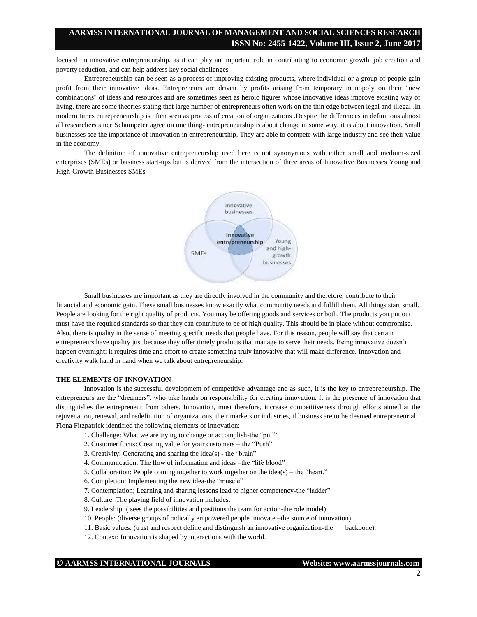# **AARMSS INTERNATIONAL JOURNAL OF MANAGEMENT AND SOCIAL SCIENCES RESEARCH ISSN No: 2455-1422, Volume III, Issue 2, June 2017**

focused on innovative entrepreneurship, as it can play an important role in contributing to economic growth, job creation and poverty reduction, and can help address key social challenges

Entrepreneurship can be seen as a process of improving existing products, where individual or a group of people gain profit from their innovative ideas. Entrepreneurs are driven by profits arising from temporary monopoly on their "new combinations" of ideas and resources and are sometimes seen as heroic figures whose innovative ideas improve existing way of living. there are some theories stating that large number of entrepreneurs often work on the thin edge between legal and illegal .In modern times entrepreneurship is often seen as process of creation of organizations .Despite the differences in definitions almost all researchers since Schumpeter agree on one thing- entrepreneurship is about change in some way, it is about innovation. Small businesses see the importance of innovation in entrepreneurship. They are able to compete with large industry and see their value in the economy.

 The definition of innovative entrepreneurship used here is not synonymous with either small and medium-sized enterprises (SMEs) or business start-ups but is derived from the intersection of three areas of Innovative Businesses Young and High-Growth Businesses SMEs



 Small businesses are important as they are directly involved in the community and therefore, contribute to their financial and economic gain. These small businesses know exactly what community needs and fulfill them. All things start small. People are looking for the right quality of products. You may be offering goods and services or both. The products you put out must have the required standards so that they can contribute to be of high quality. This should be in place without compromise. Also, there is quality in the sense of meeting specific needs that people have. For this reason, people will say that certain entrepreneurs have quality just because they offer timely products that manage to serve their needs. Being innovative doesn't happen overnight: it requires time and effort to create something truly innovative that will make difference. Innovation and creativity walk hand in hand when we talk about entrepreneurship.

#### **THE ELEMENTS OF INNOVATION**

Innovation is the successful development of competitive advantage and as such, it is the key to entrepreneurship. The entrepreneurs are the "dreamers", who take hands on responsibility for creating innovation. It is the presence of innovation that distinguishes the entrepreneur from others. Innovation, must therefore, increase competitiveness through efforts aimed at the rejuvenation, renewal, and redefinition of organizations, their markets or industries, if business are to be deemed entrepreneurial. Fiona Fitzpatrick identified the following elements of innovation:

- 1. Challenge: What we are trying to change or accomplish-the "pull"
- 2. Customer focus: Creating value for your customers the "Push"
- 3. Creativity: Generating and sharing the idea(s) the "brain"
- 4. Communication: The flow of information and ideas –the "life blood"
- 5. Collaboration: People coming together to work together on the idea(s) the "heart."
- 6. Completion: Implementing the new idea-the "muscle"
- 7. Contemplation; Learning and sharing lessons lead to higher competency-the "ladder"
- 8. Culture: The playing field of innovation includes:
- 9. Leadership :( sees the possibilities and positions the team for action-the role model)
- 10. People: (diverse groups of radically empowered people innovate –the source of innovation)
- 11. Basic values: (trust and respect define and distinguish an innovative organization-the backbone).
- 12. Context: Innovation is shaped by interactions with the world.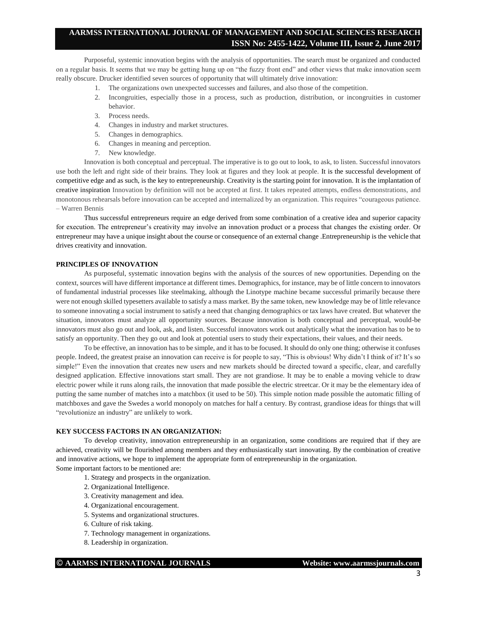# **AARMSS INTERNATIONAL JOURNAL OF MANAGEMENT AND SOCIAL SCIENCES RESEARCH ISSN No: 2455-1422, Volume III, Issue 2, June 2017**

Purposeful, systemic innovation begins with the analysis of opportunities. The search must be organized and conducted on a regular basis. It seems that we may be getting hung up on "the fuzzy front end" and other views that make innovation seem really obscure. Drucker identified seven sources of opportunity that will ultimately drive innovation:

- 1. The organizations own unexpected successes and failures, and also those of the competition.
- 2. Incongruities, especially those in a process, such as production, distribution, or incongruities in customer behavior.
- 3. Process needs.
- 4. Changes in industry and market structures.
- 5. Changes in demographics.
- 6. Changes in meaning and perception.
- 7. New knowledge.

Innovation is both conceptual and perceptual. The imperative is to go out to look, to ask, to listen. Successful innovators use both the left and right side of their brains. They look at figures and they look at people. It is the successful development of competitive edge and as such, is the key to entrepreneurship. Creativity is the starting point for innovation. It is the implantation of creative inspiration Innovation by definition will not be accepted at first. It takes repeated attempts, endless demonstrations, and monotonous rehearsals before innovation can be accepted and internalized by an organization. This requires "courageous patience. – Warren Bennis

Thus successful entrepreneurs require an edge derived from some combination of a creative idea and superior capacity for execution. The entrepreneur's creativity may involve an innovation product or a process that changes the existing order. Or entrepreneur may have a unique insight about the course or consequence of an external change .Entrepreneurship is the vehicle that drives creativity and innovation.

### **PRINCIPLES OF INNOVATION**

As purposeful, systematic innovation begins with the analysis of the sources of new opportunities. Depending on the context, sources will have different importance at different times. Demographics, for instance, may be of little concern to innovators of fundamental industrial processes like steelmaking, although the Linotype machine became successful primarily because there were not enough skilled typesetters available to satisfy a mass market. By the same token, new knowledge may be of little relevance to someone innovating a social instrument to satisfy a need that changing demographics or tax laws have created. But whatever the situation, innovators must analyze all opportunity sources. Because innovation is both conceptual and perceptual, would-be innovators must also go out and look, ask, and listen. Successful innovators work out analytically what the innovation has to be to satisfy an opportunity. Then they go out and look at potential users to study their expectations, their values, and their needs.

To be effective, an innovation has to be simple, and it has to be focused. It should do only one thing; otherwise it confuses people. Indeed, the greatest praise an innovation can receive is for people to say, "This is obvious! Why didn't I think of it? It's so simple!" Even the innovation that creates new users and new markets should be directed toward a specific, clear, and carefully designed application. Effective innovations start small. They are not grandiose. It may be to enable a moving vehicle to draw electric power while it runs along rails, the innovation that made possible the electric streetcar. Or it may be the elementary idea of putting the same number of matches into a matchbox (it used to be 50). This simple notion made possible the automatic filling of matchboxes and gave the Swedes a world monopoly on matches for half a century. By contrast, grandiose ideas for things that will "revolutionize an industry" are unlikely to work.

#### **KEY SUCCESS FACTORS IN AN ORGANIZATION:**

To develop creativity, innovation entrepreneurship in an organization, some conditions are required that if they are achieved, creativity will be flourished among members and they enthusiastically start innovating. By the combination of creative and innovative actions, we hope to implement the appropriate form of entrepreneurship in the organization. Some important factors to be mentioned are:

- 1. Strategy and prospects in the organization.
	- 2. Organizational Intelligence.
	- 3. Creativity management and idea.
	- 4. Organizational encouragement.
	- 5. Systems and organizational structures.
	- 6. Culture of risk taking.
	- 7. Technology management in organizations.
	- 8. Leadership in organization.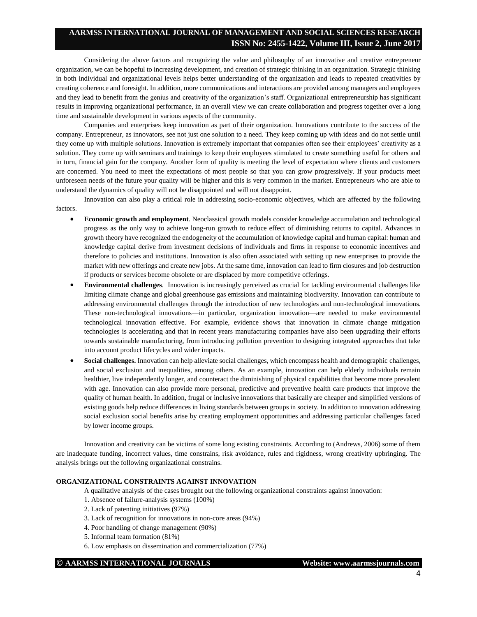# **AARMSS INTERNATIONAL JOURNAL OF MANAGEMENT AND SOCIAL SCIENCES RESEARCH ISSN No: 2455-1422, Volume III, Issue 2, June 2017**

Considering the above factors and recognizing the value and philosophy of an innovative and creative entrepreneur organization, we can be hopeful to increasing development, and creation of strategic thinking in an organization. Strategic thinking in both individual and organizational levels helps better understanding of the organization and leads to repeated creativities by creating coherence and foresight. In addition, more communications and interactions are provided among managers and employees and they lead to benefit from the genius and creativity of the organization's staff. Organizational entrepreneurship has significant results in improving organizational performance, in an overall view we can create collaboration and progress together over a long time and sustainable development in various aspects of the community.

Companies and enterprises keep innovation as part of their organization. Innovations contribute to the success of the company. Entrepreneur, as innovators, see not just one solution to a need. They keep coming up with ideas and do not settle until they come up with multiple solutions. Innovation is extremely important that companies often see their employees' creativity as a solution. They come up with seminars and trainings to keep their employees stimulated to create something useful for others and in turn, financial gain for the company. Another form of quality is meeting the level of expectation where clients and customers are concerned. You need to meet the expectations of most people so that you can grow progressively. If your products meet unforeseen needs of the future your quality will be higher and this is very common in the market. Entrepreneurs who are able to understand the dynamics of quality will not be disappointed and will not disappoint.

Innovation can also play a critical role in addressing socio-economic objectives, which are affected by the following factors.

- **Economic growth and employment**. Neoclassical growth models consider knowledge accumulation and technological progress as the only way to achieve long-run growth to reduce effect of diminishing returns to capital. Advances in growth theory have recognized the endogeneity of the accumulation of knowledge capital and human capital: human and knowledge capital derive from investment decisions of individuals and firms in response to economic incentives and therefore to policies and institutions. Innovation is also often associated with setting up new enterprises to provide the market with new offerings and create new jobs. At the same time, innovation can lead to firm closures and job destruction if products or services become obsolete or are displaced by more competitive offerings.
- **Environmental challenges**. Innovation is increasingly perceived as crucial for tackling environmental challenges like limiting climate change and global greenhouse gas emissions and maintaining biodiversity. Innovation can contribute to addressing environmental challenges through the introduction of new technologies and non-technological innovations. These non-technological innovations—in particular, organization innovation—are needed to make environmental technological innovation effective. For example, evidence shows that innovation in climate change mitigation technologies is accelerating and that in recent years manufacturing companies have also been upgrading their efforts towards sustainable manufacturing, from introducing pollution prevention to designing integrated approaches that take into account product lifecycles and wider impacts.
- **Social challenges.** Innovation can help alleviate social challenges, which encompass health and demographic challenges, and social exclusion and inequalities, among others. As an example, innovation can help elderly individuals remain healthier, live independently longer, and counteract the diminishing of physical capabilities that become more prevalent with age. Innovation can also provide more personal, predictive and preventive health care products that improve the quality of human health. In addition, frugal or inclusive innovations that basically are cheaper and simplified versions of existing goods help reduce differences in living standards between groups in society. In addition to innovation addressing social exclusion social benefits arise by creating employment opportunities and addressing particular challenges faced by lower income groups.

Innovation and creativity can be victims of some long existing constraints. According to (Andrews, 2006) some of them are inadequate funding, incorrect values, time constrains, risk avoidance, rules and rigidness, wrong creativity upbringing. The analysis brings out the following organizational constrains.

## **ORGANIZATIONAL CONSTRAINTS AGAINST INNOVATION**

A qualitative analysis of the cases brought out the following organizational constraints against innovation:

- 1. Absence of failure-analysis systems (100%)
- 2. Lack of patenting initiatives (97%)
- 3. Lack of recognition for innovations in non-core areas (94%)
- 4. Poor handling of change management (90%)
- 5. Informal team formation (81%)
- 6. Low emphasis on dissemination and commercialization (77%)